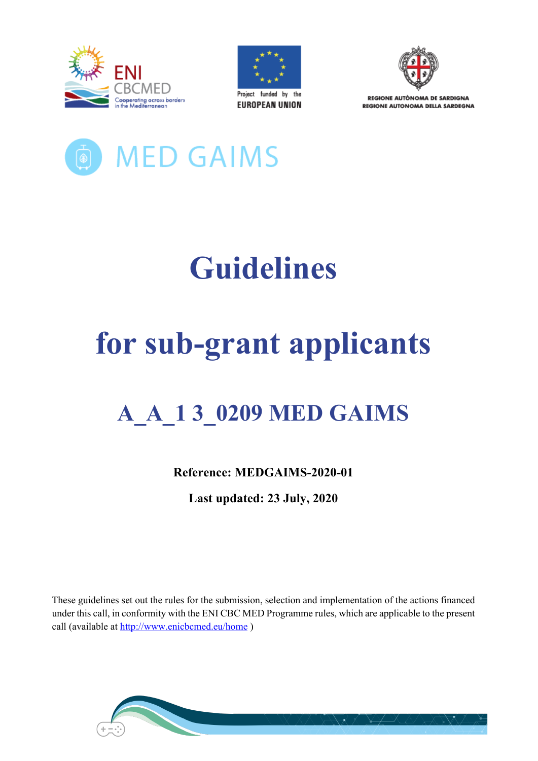





**PEGIONE AUTÒNOMA DE SAPDIGNA REGIONE AUTONOMA DELLA SARDEGNA** 



# **Guidelines**

## **for sub-grant applicants**

## **A\_A\_1 3\_0209 MED GAIMS**

**Reference: MEDGAIMS-2020-01**

**Last updated: 23 July, 2020**

These guidelines set out the rules for the submission, selection and implementation of the actions financed under this call, in conformity with the ENI CBC MED Programme rules, which are applicable to the present call (available at http://www.enicbcmed.eu/home )

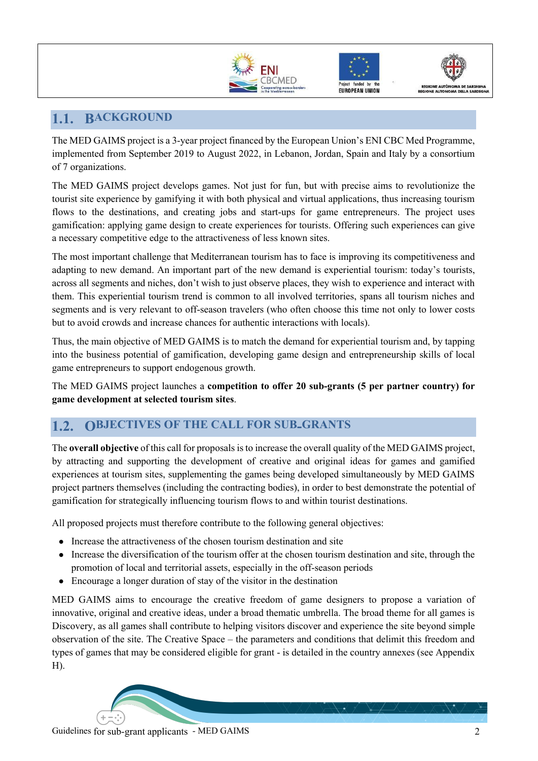





## **1.1. BACKGROUND**

The MED GAIMS project is a 3-year project financed by the European Union's ENI CBC Med Programme, implemented from September 2019 to August 2022, in Lebanon, Jordan, Spain and Italy by a consortium of 7 organizations.

The MED GAIMS project develops games. Not just for fun, but with precise aims to revolutionize the tourist site experience by gamifying it with both physical and virtual applications, thus increasing tourism flows to the destinations, and creating jobs and start-ups for game entrepreneurs. The project uses gamification: applying game design to create experiences for tourists. Offering such experiences can give a necessary competitive edge to the attractiveness of less known sites.

The most important challenge that Mediterranean tourism has to face is improving its competitiveness and adapting to new demand. An important part of the new demand is experiential tourism: today's tourists, across all segments and niches, don't wish to just observe places, they wish to experience and interact with them. This experiential tourism trend is common to all involved territories, spans all tourism niches and segments and is very relevant to off-season travelers (who often choose this time not only to lower costs but to avoid crowds and increase chances for authentic interactions with locals).

Thus, the main objective of MED GAIMS is to match the demand for experiential tourism and, by tapping into the business potential of gamification, developing game design and entrepreneurship skills of local game entrepreneurs to support endogenous growth.

The MED GAIMS project launches a **competition to offer 20 sub-grants (5 per partner country) for game development at selected tourism sites**.

## **1.2. OBJECTIVES OF THE CALL FOR SUB-GRANTS**

The **overall objective** of this call for proposals is to increase the overall quality of the MED GAIMS project, by attracting and supporting the development of creative and original ideas for games and gamified experiences at tourism sites, supplementing the games being developed simultaneously by MED GAIMS project partners themselves (including the contracting bodies), in order to best demonstrate the potential of gamification for strategically influencing tourism flows to and within tourist destinations.

All proposed projects must therefore contribute to the following general objectives:

- Increase the attractiveness of the chosen tourism destination and site
- Increase the diversification of the tourism offer at the chosen tourism destination and site, through the promotion of local and territorial assets, especially in the off-season periods
- Encourage a longer duration of stay of the visitor in the destination

MED GAIMS aims to encourage the creative freedom of game designers to propose a variation of innovative, original and creative ideas, under a broad thematic umbrella. The broad theme for all games is Discovery, as all games shall contribute to helping visitors discover and experience the site beyond simple observation of the site. The Creative Space – the parameters and conditions that delimit this freedom and types of games that may be considered eligible for grant - is detailed in the country annexes (see Appendix H).

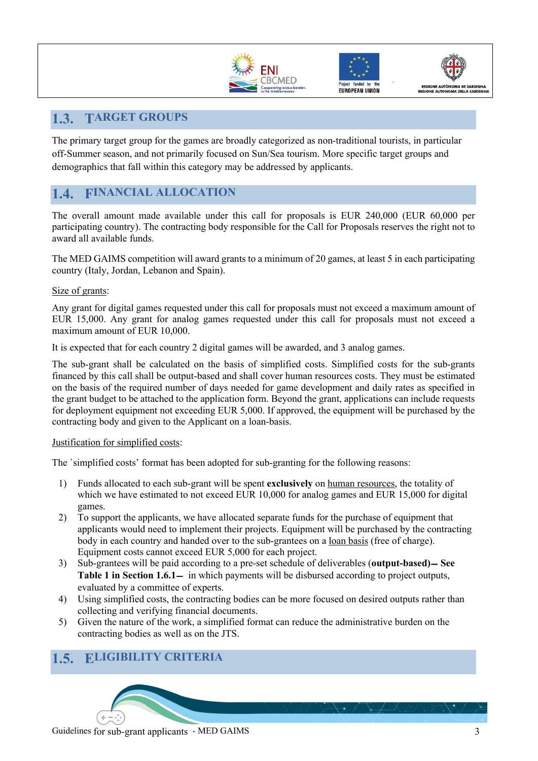





## **1.3. TARGET GROUPS**

The primary target group for the games are broadly categorized as non-traditional tourists, in particular off-Summer season, and not primarily focused on Sun/Sea tourism. More specific target groups and demographics that fall within this category may be addressed by applicants.

## **1.4. FINANCIAL ALLOCATION**

The overall amount made available under this call for proposals is EUR 240,000 (EUR 60,000 per participating country). The contracting body responsible for the Call for Proposals reserves the right not to award all available funds.

The MED GAIMS competition will award grants to a minimum of 20 games, at least 5 in each participating country (Italy, Jordan, Lebanon and Spain).

#### Size of grants:

Any grant for digital games requested under this call for proposals must not exceed a maximum amount of EUR 15,000. Any grant for analog games requested under this call for proposals must not exceed a maximum amount of EUR 10,000.

It is expected that for each country 2 digital games will be awarded, and 3 analog games.

The sub-grant shall be calculated on the basis of simplified costs. Simplified costs for the sub-grants financed by this call shall be output-based and shall cover human resources costs. They must be estimated on the basis of the required number of days needed for game development and daily rates as specified in the grant budget to be attached to the application form. Beyond the grant, applications can include requests for deployment equipment not exceeding EUR 5,000. If approved, the equipment will be purchased by the contracting body and given to the Applicant on a loan-basis.

#### Justification for simplified costs:

The `simplified costs' format has been adopted for sub-granting for the following reasons:

- 1) Funds allocated to each sub-grant will be spent **exclusively** on human resources, the totality of which we have estimated to not exceed EUR 10,000 for analog games and EUR 15,000 for digital games.
- 2) To support the applicants, we have allocated separate funds for the purchase of equipment that applicants would need to implement their projects. Equipment will be purchased by the contracting body in each country and handed over to the sub-grantees on a loan basis (free of charge). Equipment costs cannot exceed EUR 5,000 for each project.
- 3) Sub-grantees will be paid according to a pre-set schedule of deliverables (**output-based)**− **See Table 1 in Section 1.6.1**− in which payments will be disbursed according to project outputs, evaluated by a committee of experts.
- 4) Using simplified costs, the contracting bodies can be more focused on desired outputs rather than collecting and verifying financial documents.
- 5) Given the nature of the work, a simplified format can reduce the administrative burden on the contracting bodies as well as on the JTS.

## **1.5. ELIGIBILITY CRITERIA**

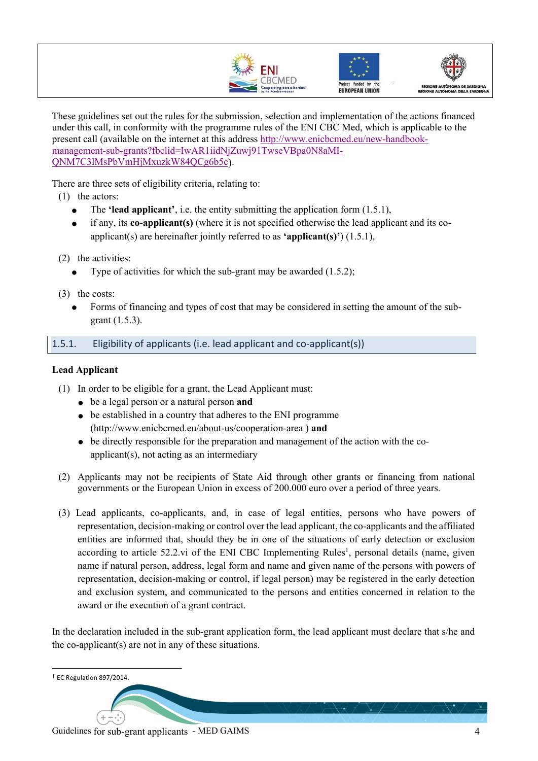





These guidelines set out the rules for the submission, selection and implementation of the actions financed under this call, in conformity with the programme rules of the ENI CBC Med, which is applicable to the present call (available on the internet at this address http://www.enicbcmed.eu/new-handbookmanagement-sub-grants?fbclid=IwAR1iidNjZuwj91TwseVBpa0N8aMI-QNM7C3lMsPbVmHjMxuzkW84QCg6b5c).

There are three sets of eligibility criteria, relating to:

- (1) the actors:
	- The **'lead applicant'**, i.e. the entity submitting the application form (1.5.1),
	- if any, its **co-applicant(s)** (where it is not specified otherwise the lead applicant and its coapplicant(s) are hereinafter jointly referred to as **'applicant(s)'**) (1.5.1),
- (2) the activities:
	- Type of activities for which the sub-grant may be awarded  $(1.5.2)$ ;
- (3) the costs:
	- Forms of financing and types of cost that may be considered in setting the amount of the subgrant (1.5.3).

#### 1.5.1. Eligibility of applicants (i.e. lead applicant and co-applicant(s))

#### **Lead Applicant**

- (1) In order to be eligible for a grant, the Lead Applicant must:
	- be a legal person or a natural person **and**
	- be established in a country that adheres to the ENI programme (http://www.enicbcmed.eu/about-us/cooperation-area ) **and**
	- $\bullet$  be directly responsible for the preparation and management of the action with the coapplicant(s), not acting as an intermediary
- (2) Applicants may not be recipients of State Aid through other grants or financing from national governments or the European Union in excess of 200.000 euro over a period of three years.
- (3) Lead applicants, co-applicants, and, in case of legal entities, persons who have powers of representation, decision-making or control over the lead applicant, the co-applicants and the affiliated entities are informed that, should they be in one of the situations of early detection or exclusion according to article 52.2.vi of the ENI CBC Implementing Rules<sup>1</sup>, personal details (name, given name if natural person, address, legal form and name and given name of the persons with powers of representation, decision-making or control, if legal person) may be registered in the early detection and exclusion system, and communicated to the persons and entities concerned in relation to the award or the execution of a grant contract.

In the declaration included in the sub-grant application form, the lead applicant must declare that s/he and the co-applicant(s) are not in any of these situations.

1 EC Regulation 897/2014.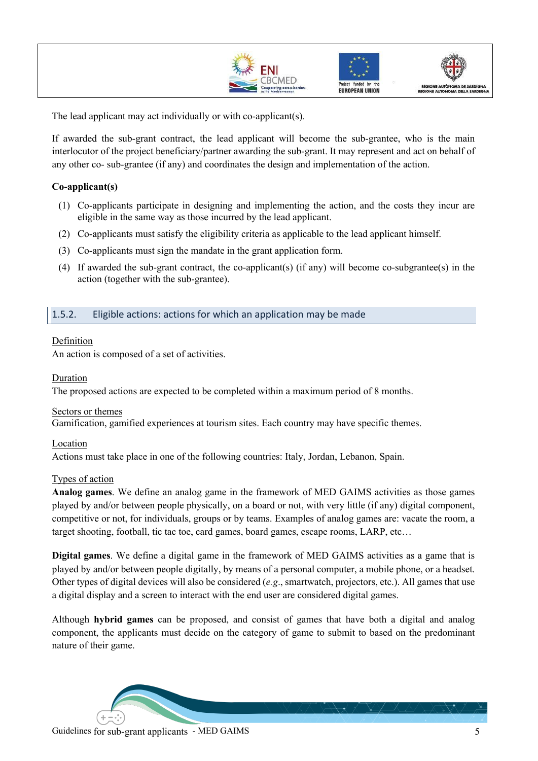





The lead applicant may act individually or with co-applicant(s).

If awarded the sub-grant contract, the lead applicant will become the sub-grantee, who is the main interlocutor of the project beneficiary/partner awarding the sub-grant. It may represent and act on behalf of any other co- sub-grantee (if any) and coordinates the design and implementation of the action.

#### **Co-applicant(s)**

- (1) Co-applicants participate in designing and implementing the action, and the costs they incur are eligible in the same way as those incurred by the lead applicant.
- (2) Co-applicants must satisfy the eligibility criteria as applicable to the lead applicant himself.
- (3) Co-applicants must sign the mandate in the grant application form.
- (4) If awarded the sub-grant contract, the co-applicant(s) (if any) will become co-subgrantee(s) in the action (together with the sub-grantee).

#### 1.5.2. Eligible actions: actions for which an application may be made

#### Definition

An action is composed of a set of activities.

#### Duration

The proposed actions are expected to be completed within a maximum period of 8 months.

#### Sectors or themes

Gamification, gamified experiences at tourism sites. Each country may have specific themes.

#### Location

Actions must take place in one of the following countries: Italy, Jordan, Lebanon, Spain.

#### Types of action

**Analog games**. We define an analog game in the framework of MED GAIMS activities as those games played by and/or between people physically, on a board or not, with very little (if any) digital component, competitive or not, for individuals, groups or by teams. Examples of analog games are: vacate the room, a target shooting, football, tic tac toe, card games, board games, escape rooms, LARP, etc…

**Digital games**. We define a digital game in the framework of MED GAIMS activities as a game that is played by and/or between people digitally, by means of a personal computer, a mobile phone, or a headset. Other types of digital devices will also be considered (*e.g*., smartwatch, projectors, etc.). All games that use a digital display and a screen to interact with the end user are considered digital games.

Although **hybrid games** can be proposed, and consist of games that have both a digital and analog component, the applicants must decide on the category of game to submit to based on the predominant nature of their game.

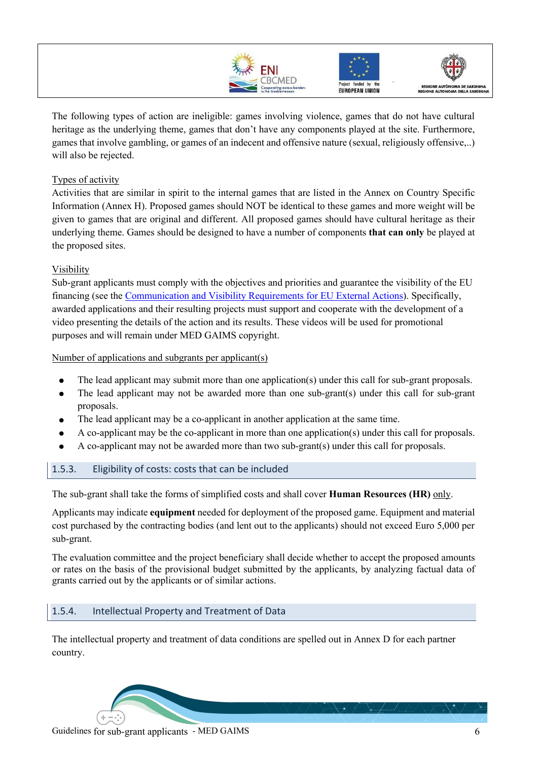





The following types of action are ineligible: games involving violence, games that do not have cultural heritage as the underlying theme, games that don't have any components played at the site. Furthermore, games that involve gambling, or games of an indecent and offensive nature (sexual, religiously offensive,..) will also be rejected.

#### Types of activity

Activities that are similar in spirit to the internal games that are listed in the Annex on Country Specific Information (Annex H). Proposed games should NOT be identical to these games and more weight will be given to games that are original and different. All proposed games should have cultural heritage as their underlying theme. Games should be designed to have a number of components **that can only** be played at the proposed sites.

#### Visibility

Sub-grant applicants must comply with the objectives and priorities and guarantee the visibility of the EU financing (see the Communication and Visibility Requirements for EU External Actions). Specifically, awarded applications and their resulting projects must support and cooperate with the development of a video presenting the details of the action and its results. These videos will be used for promotional purposes and will remain under MED GAIMS copyright.

Number of applications and subgrants per applicant(s)

- The lead applicant may submit more than one application(s) under this call for sub-grant proposals.
- The lead applicant may not be awarded more than one sub-grant(s) under this call for sub-grant proposals.
- The lead applicant may be a co-applicant in another application at the same time.
- A co-applicant may be the co-applicant in more than one application(s) under this call for proposals.
- A co-applicant may not be awarded more than two sub-grant(s) under this call for proposals.

#### 1.5.3. Eligibility of costs: costs that can be included

The sub-grant shall take the forms of simplified costs and shall cover **Human Resources (HR)** only.

Applicants may indicate **equipment** needed for deployment of the proposed game. Equipment and material cost purchased by the contracting bodies (and lent out to the applicants) should not exceed Euro 5,000 per sub-grant.

The evaluation committee and the project beneficiary shall decide whether to accept the proposed amounts or rates on the basis of the provisional budget submitted by the applicants, by analyzing factual data of grants carried out by the applicants or of similar actions.

#### 1.5.4. Intellectual Property and Treatment of Data

The intellectual property and treatment of data conditions are spelled out in Annex D for each partner country.

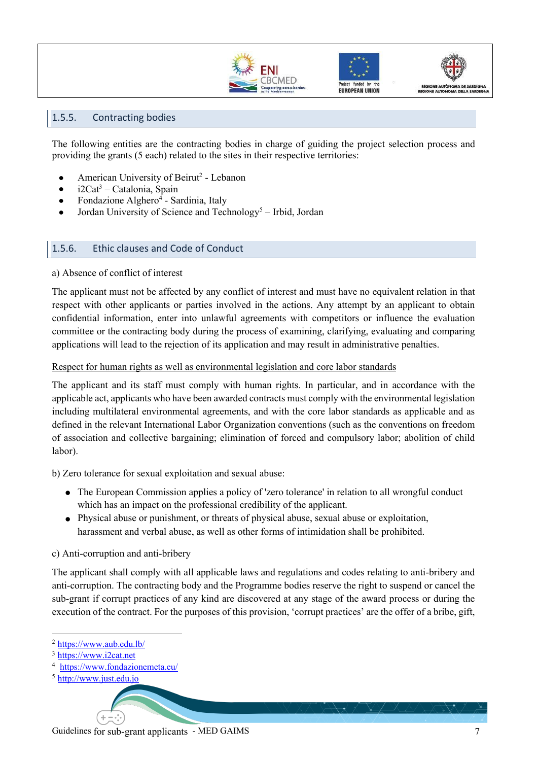





#### 1.5.5. Contracting bodies

The following entities are the contracting bodies in charge of guiding the project selection process and providing the grants (5 each) related to the sites in their respective territories:

- American University of Beirut<sup>2</sup> Lebanon
- $\bullet$  i2Cat<sup>3</sup> Catalonia, Spain
- Fondazione Alghero<sup>4</sup> Sardinia, Italy
- Jordan University of Science and Technology<sup>5</sup> Irbid, Jordan

#### 1.5.6. Ethic clauses and Code of Conduct

#### a) Absence of conflict of interest

The applicant must not be affected by any conflict of interest and must have no equivalent relation in that respect with other applicants or parties involved in the actions. Any attempt by an applicant to obtain confidential information, enter into unlawful agreements with competitors or influence the evaluation committee or the contracting body during the process of examining, clarifying, evaluating and comparing applications will lead to the rejection of its application and may result in administrative penalties.

#### Respect for human rights as well as environmental legislation and core labor standards

The applicant and its staff must comply with human rights. In particular, and in accordance with the applicable act, applicants who have been awarded contracts must comply with the environmental legislation including multilateral environmental agreements, and with the core labor standards as applicable and as defined in the relevant International Labor Organization conventions (such as the conventions on freedom of association and collective bargaining; elimination of forced and compulsory labor; abolition of child labor).

b) Zero tolerance for sexual exploitation and sexual abuse:

- The European Commission applies a policy of 'zero tolerance' in relation to all wrongful conduct which has an impact on the professional credibility of the applicant.
- Physical abuse or punishment, or threats of physical abuse, sexual abuse or exploitation, harassment and verbal abuse, as well as other forms of intimidation shall be prohibited.

#### c) Anti-corruption and anti-bribery

The applicant shall comply with all applicable laws and regulations and codes relating to anti-bribery and anti-corruption. The contracting body and the Programme bodies reserve the right to suspend or cancel the sub-grant if corrupt practices of any kind are discovered at any stage of the award process or during the execution of the contract. For the purposes of this provision, 'corrupt practices' are the offer of a bribe, gift,

<sup>2</sup> https://www.aub.edu.lb/

<sup>3</sup> https://www.i2cat.net

<sup>4</sup> https://www.fondazionemeta.eu/

<sup>5</sup> http://www.just.edu.jo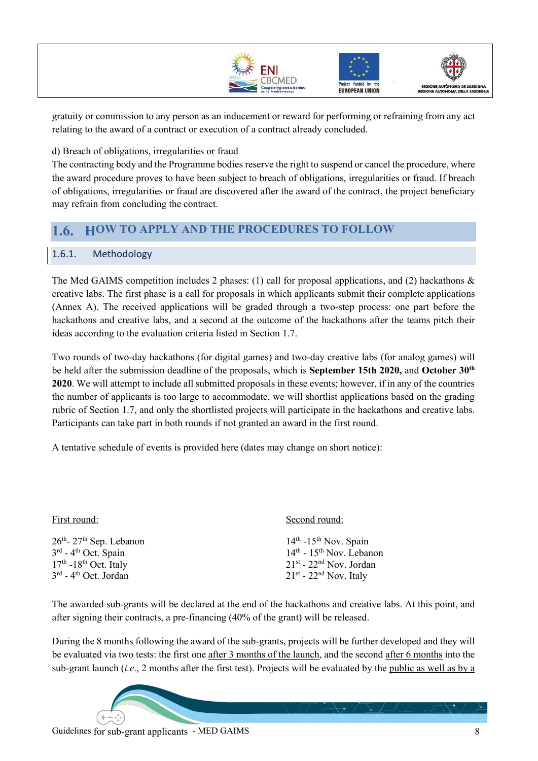





gratuity or commission to any person as an inducement or reward for performing or refraining from any act relating to the award of a contract or execution of a contract already concluded.

d) Breach of obligations, irregularities or fraud

The contracting body and the Programme bodies reserve the right to suspend or cancel the procedure, where the award procedure proves to have been subject to breach of obligations, irregularities or fraud. If breach of obligations, irregularities or fraud are discovered after the award of the contract, the project beneficiary may refrain from concluding the contract.

### **1.6. HOW TO APPLY AND THE PROCEDURES TO FOLLOW**

#### 1.6.1. Methodology

The Med GAIMS competition includes 2 phases: (1) call for proposal applications, and (2) hackathons & creative labs. The first phase is a call for proposals in which applicants submit their complete applications (Annex A). The received applications will be graded through a two-step process: one part before the hackathons and creative labs, and a second at the outcome of the hackathons after the teams pitch their ideas according to the evaluation criteria listed in Section 1.7.

Two rounds of two-day hackathons (for digital games) and two-day creative labs (for analog games) will be held after the submission deadline of the proposals, which is **September 15th 2020,** and **October 30th 2020**. We will attempt to include all submitted proposals in these events; however, if in any of the countries the number of applicants is too large to accommodate, we will shortlist applications based on the grading rubric of Section 1.7, and only the shortlisted projects will participate in the hackathons and creative labs. Participants can take part in both rounds if not granted an award in the first round.

A tentative schedule of events is provided here (dates may change on short notice):

| First round:                                  | Second round:                       |  |
|-----------------------------------------------|-------------------------------------|--|
| $26th$ - $27th$ Sep. Lebanon                  | $14th$ -15 <sup>th</sup> Nov. Spain |  |
| $3rd$ - 4 <sup>th</sup> Oct. Spain            | $14th$ - $15th$ Nov. Lebanon        |  |
| $17th$ -18 <sup>th</sup> Oct. Italy           | $21st$ - $22nd$ Nov. Jordan         |  |
| 3 <sup>rd</sup> - 4 <sup>th</sup> Oct. Jordan | $21st$ - $22nd$ Nov. Italy          |  |

The awarded sub-grants will be declared at the end of the hackathons and creative labs. At this point, and after signing their contracts, a pre-financing (40% of the grant) will be released.

During the 8 months following the award of the sub-grants, projects will be further developed and they will be evaluated via two tests: the first one after 3 months of the launch, and the second after 6 months into the sub-grant launch (*i.e*., 2 months after the first test). Projects will be evaluated by the public as well as by a

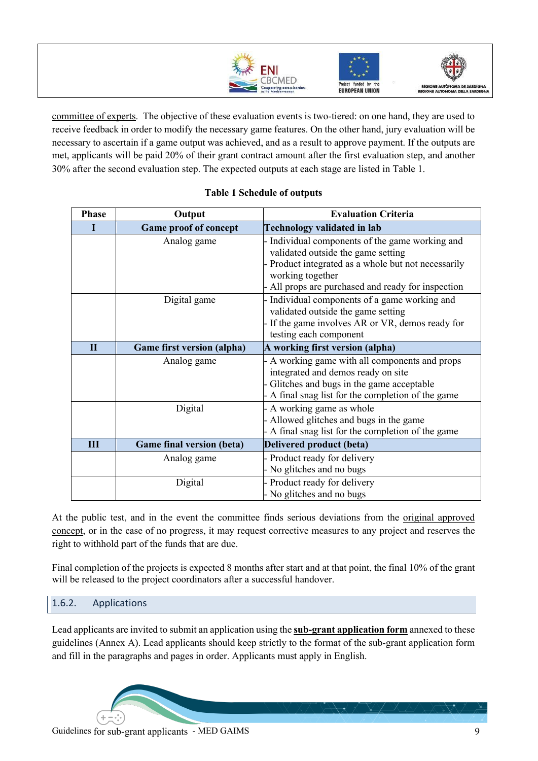





committee of experts. The objective of these evaluation events is two-tiered: on one hand, they are used to receive feedback in order to modify the necessary game features. On the other hand, jury evaluation will be necessary to ascertain if a game output was achieved, and as a result to approve payment. If the outputs are met, applicants will be paid 20% of their grant contract amount after the first evaluation step, and another 30% after the second evaluation step. The expected outputs at each stage are listed in Table 1.

| <b>Phase</b> | Output                            | <b>Evaluation Criteria</b>                                                                                                                                                                                         |  |
|--------------|-----------------------------------|--------------------------------------------------------------------------------------------------------------------------------------------------------------------------------------------------------------------|--|
|              | <b>Game proof of concept</b>      | <b>Technology validated in lab</b>                                                                                                                                                                                 |  |
|              | Analog game                       | Individual components of the game working and<br>validated outside the game setting<br>- Product integrated as a whole but not necessarily<br>working together<br>All props are purchased and ready for inspection |  |
|              | Digital game                      | Individual components of a game working and<br>validated outside the game setting<br>- If the game involves AR or VR, demos ready for<br>testing each component                                                    |  |
| $\mathbf{I}$ | <b>Game first version (alpha)</b> | A working first version (alpha)                                                                                                                                                                                    |  |
|              | Analog game                       | A working game with all components and props<br>integrated and demos ready on site<br>Glitches and bugs in the game acceptable<br>A final snag list for the completion of the game                                 |  |
|              | Digital                           | - A working game as whole<br>Allowed glitches and bugs in the game<br>A final snag list for the completion of the game                                                                                             |  |
| Ш            | <b>Game final version (beta)</b>  | Delivered product (beta)                                                                                                                                                                                           |  |
|              | Analog game                       | - Product ready for delivery<br>No glitches and no bugs                                                                                                                                                            |  |
|              | Digital                           | Product ready for delivery<br>No glitches and no bugs                                                                                                                                                              |  |

#### **Table 1 Schedule of outputs**

At the public test, and in the event the committee finds serious deviations from the <u>original approved</u> concept, or in the case of no progress, it may request corrective measures to any project and reserves the right to withhold part of the funds that are due.

Final completion of the projects is expected 8 months after start and at that point, the final 10% of the grant will be released to the project coordinators after a successful handover.

#### 1.6.2. Applications

Lead applicants are invited to submit an application using the **sub-grant application form** annexed to these guidelines (Annex A). Lead applicants should keep strictly to the format of the sub-grant application form and fill in the paragraphs and pages in order. Applicants must apply in English.

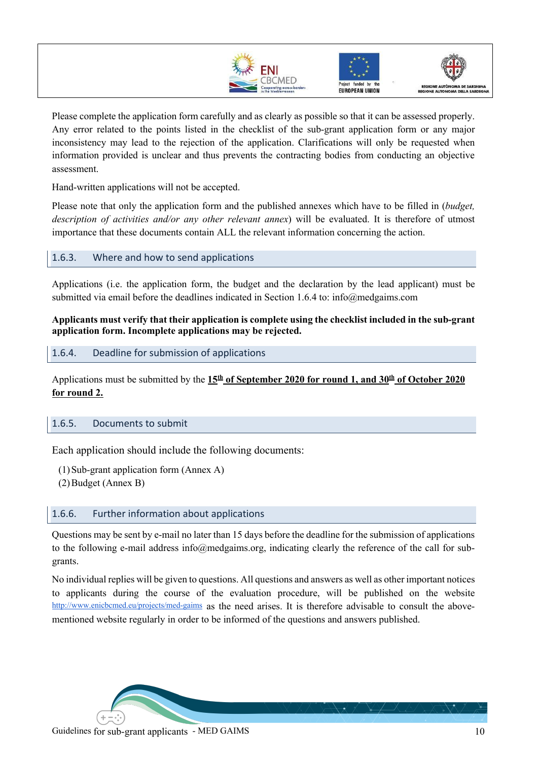





Please complete the application form carefully and as clearly as possible so that it can be assessed properly. Any error related to the points listed in the checklist of the sub-grant application form or any major inconsistency may lead to the rejection of the application. Clarifications will only be requested when information provided is unclear and thus prevents the contracting bodies from conducting an objective assessment.

Hand-written applications will not be accepted.

Please note that only the application form and the published annexes which have to be filled in (*budget, description of activities and/or any other relevant annex*) will be evaluated. It is therefore of utmost importance that these documents contain ALL the relevant information concerning the action.

#### 1.6.3. Where and how to send applications

Applications (i.e. the application form, the budget and the declaration by the lead applicant) must be submitted via email before the deadlines indicated in Section 1.6.4 to: info@medgaims.com

**Applicants must verify that their application is complete using the checklist included in the sub-grant application form. Incomplete applications may be rejected.**

1.6.4. Deadline for submission of applications

Applications must be submitted by the  $15<sup>th</sup>$  of September 2020 for round 1, and 30<sup>th</sup> of October 2020 **for round 2.** 

#### 1.6.5. Documents to submit

Each application should include the following documents:

(1)Sub-grant application form (Annex A) (2)Budget (Annex B)

#### 1.6.6. Further information about applications

Questions may be sent by e-mail no later than 15 days before the deadline for the submission of applications to the following e-mail address info@medgaims.org, indicating clearly the reference of the call for subgrants.

No individual replies will be given to questions. All questions and answers as well as other important notices to applicants during the course of the evaluation procedure, will be published on the website http://www.enicbcmed.eu/projects/med-gaims as the need arises. It is therefore advisable to consult the abovementioned website regularly in order to be informed of the questions and answers published.

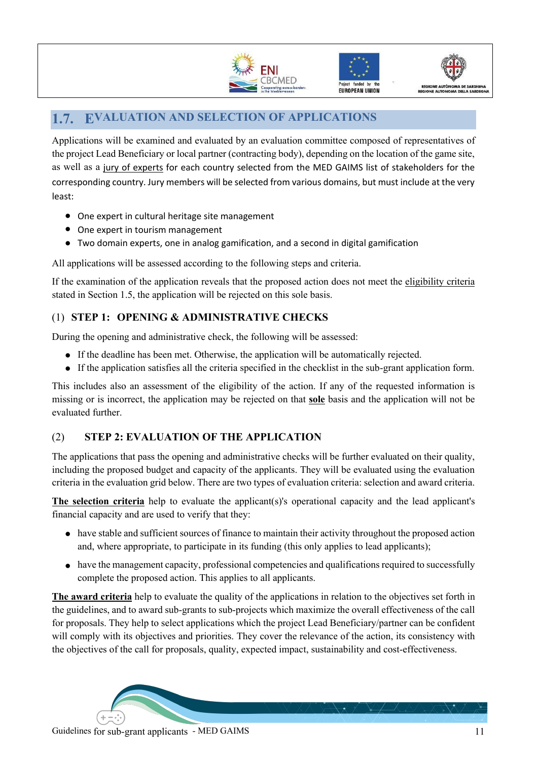





## **1.7. EVALUATION AND SELECTION OF APPLICATIONS**

Applications will be examined and evaluated by an evaluation committee composed of representatives of the project Lead Beneficiary or local partner (contracting body), depending on the location of the game site, as well as a jury of experts for each country selected from the MED GAIMS list of stakeholders for the corresponding country. Jury members will be selected from various domains, but must include at the very least:

- One expert in cultural heritage site management
- One expert in tourism management
- Two domain experts, one in analog gamification, and a second in digital gamification

All applications will be assessed according to the following steps and criteria.

If the examination of the application reveals that the proposed action does not meet the eligibility criteria stated in Section 1.5, the application will be rejected on this sole basis.

#### (1) **STEP 1: OPENING & ADMINISTRATIVE CHECKS**

During the opening and administrative check, the following will be assessed:

- If the deadline has been met. Otherwise, the application will be automatically rejected.
- If the application satisfies all the criteria specified in the checklist in the sub-grant application form.

This includes also an assessment of the eligibility of the action. If any of the requested information is missing or is incorrect, the application may be rejected on that **sole** basis and the application will not be evaluated further.

#### (2) **STEP 2: EVALUATION OF THE APPLICATION**

The applications that pass the opening and administrative checks will be further evaluated on their quality, including the proposed budget and capacity of the applicants. They will be evaluated using the evaluation criteria in the evaluation grid below. There are two types of evaluation criteria: selection and award criteria.

**The selection criteria** help to evaluate the applicant(s)'s operational capacity and the lead applicant's financial capacity and are used to verify that they:

- have stable and sufficient sources of finance to maintain their activity throughout the proposed action and, where appropriate, to participate in its funding (this only applies to lead applicants);
- have the management capacity, professional competencies and qualifications required to successfully complete the proposed action. This applies to all applicants.

**The award criteria** help to evaluate the quality of the applications in relation to the objectives set forth in the guidelines, and to award sub-grants to sub-projects which maximize the overall effectiveness of the call for proposals. They help to select applications which the project Lead Beneficiary/partner can be confident will comply with its objectives and priorities. They cover the relevance of the action, its consistency with the objectives of the call for proposals, quality, expected impact, sustainability and cost-effectiveness.

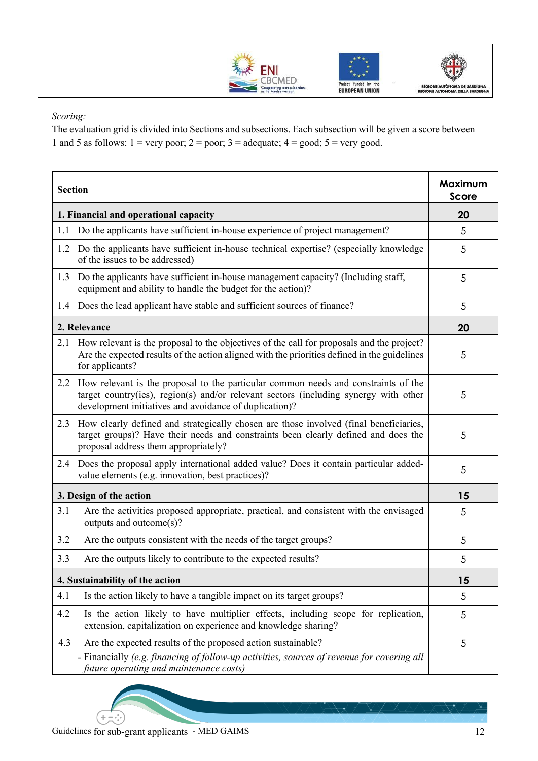





*Scoring:*

The evaluation grid is divided into Sections and subsections. Each subsection will be given a score between 1 and 5 as follows:  $1 = \text{very poor}$ ;  $2 = \text{poor}$ ;  $3 = \text{adequate}$ ;  $4 = \text{good}$ ;  $5 = \text{very good}$ .

| <b>Section</b>                        |                                                                                                                                                                                                                                          |    |
|---------------------------------------|------------------------------------------------------------------------------------------------------------------------------------------------------------------------------------------------------------------------------------------|----|
| 1. Financial and operational capacity |                                                                                                                                                                                                                                          | 20 |
| 1.1                                   | Do the applicants have sufficient in-house experience of project management?                                                                                                                                                             | 5  |
|                                       | 1.2 Do the applicants have sufficient in-house technical expertise? (especially knowledge<br>of the issues to be addressed)                                                                                                              |    |
| 1.3                                   | Do the applicants have sufficient in-house management capacity? (Including staff,<br>equipment and ability to handle the budget for the action)?                                                                                         |    |
|                                       | 1.4 Does the lead applicant have stable and sufficient sources of finance?                                                                                                                                                               |    |
|                                       | 2. Relevance                                                                                                                                                                                                                             | 20 |
|                                       | 2.1 How relevant is the proposal to the objectives of the call for proposals and the project?<br>Are the expected results of the action aligned with the priorities defined in the guidelines<br>for applicants?                         | 5  |
|                                       | 2.2 How relevant is the proposal to the particular common needs and constraints of the<br>target country(ies), region(s) and/or relevant sectors (including synergy with other<br>development initiatives and avoidance of duplication)? |    |
|                                       | 2.3 How clearly defined and strategically chosen are those involved (final beneficiaries,<br>target groups)? Have their needs and constraints been clearly defined and does the<br>proposal address them appropriately?                  |    |
|                                       | 2.4 Does the proposal apply international added value? Does it contain particular added-<br>value elements (e.g. innovation, best practices)?                                                                                            |    |
| 3. Design of the action               |                                                                                                                                                                                                                                          | 15 |
| 3.1                                   | Are the activities proposed appropriate, practical, and consistent with the envisaged<br>outputs and outcome(s)?                                                                                                                         |    |
| 3.2                                   | Are the outputs consistent with the needs of the target groups?                                                                                                                                                                          | 5  |
| 3.3                                   | Are the outputs likely to contribute to the expected results?                                                                                                                                                                            | 5  |
| 4. Sustainability of the action       |                                                                                                                                                                                                                                          | 15 |
| 4.1                                   | Is the action likely to have a tangible impact on its target groups?                                                                                                                                                                     | 5  |
| 4.2                                   | Is the action likely to have multiplier effects, including scope for replication,<br>extension, capitalization on experience and knowledge sharing?                                                                                      | 5  |
| 4.3                                   | Are the expected results of the proposed action sustainable?<br>- Financially (e.g. financing of follow-up activities, sources of revenue for covering all<br>future operating and maintenance costs)                                    | 5  |

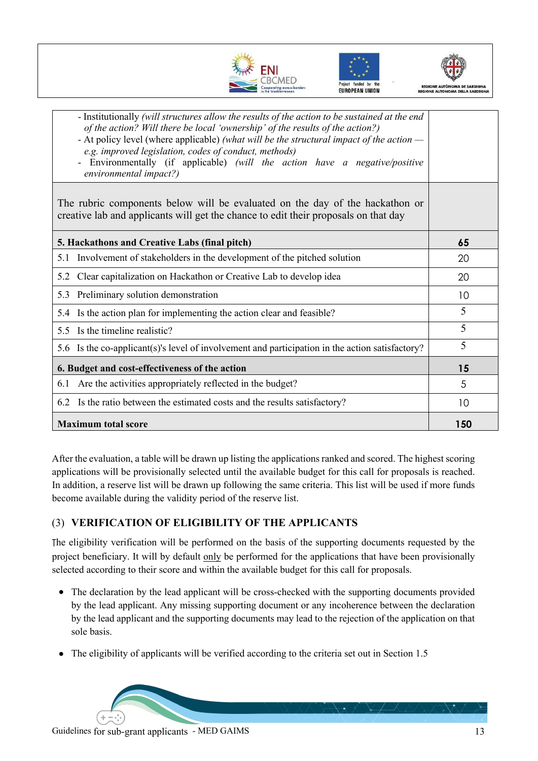





| - Institutionally (will structures allow the results of the action to be sustained at the end<br>of the action? Will there be local 'ownership' of the results of the action?)<br>- At policy level (where applicable) (what will be the structural impact of the action —<br>e.g. improved legislation, codes of conduct, methods)<br>Environmentally (if applicable) (will the action have a negative/positive<br>environmental impact?) |     |
|--------------------------------------------------------------------------------------------------------------------------------------------------------------------------------------------------------------------------------------------------------------------------------------------------------------------------------------------------------------------------------------------------------------------------------------------|-----|
| The rubric components below will be evaluated on the day of the hackathon or<br>creative lab and applicants will get the chance to edit their proposals on that day                                                                                                                                                                                                                                                                        |     |
| 5. Hackathons and Creative Labs (final pitch)                                                                                                                                                                                                                                                                                                                                                                                              | 65  |
| Involvement of stakeholders in the development of the pitched solution<br>5.1                                                                                                                                                                                                                                                                                                                                                              | 20  |
| Clear capitalization on Hackathon or Creative Lab to develop idea<br>5.2                                                                                                                                                                                                                                                                                                                                                                   | 20  |
| 5.3 Preliminary solution demonstration                                                                                                                                                                                                                                                                                                                                                                                                     | 10  |
| Is the action plan for implementing the action clear and feasible?<br>5.4                                                                                                                                                                                                                                                                                                                                                                  | 5   |
| 5.5 Is the timeline realistic?                                                                                                                                                                                                                                                                                                                                                                                                             | 5   |
| 5.6 Is the co-applicant (s)'s level of involvement and participation in the action satisfactory?                                                                                                                                                                                                                                                                                                                                           | 5   |
| 6. Budget and cost-effectiveness of the action                                                                                                                                                                                                                                                                                                                                                                                             | 15  |
| Are the activities appropriately reflected in the budget?<br>6.1                                                                                                                                                                                                                                                                                                                                                                           | 5   |
| Is the ratio between the estimated costs and the results satisfactory?<br>6.2                                                                                                                                                                                                                                                                                                                                                              | 10  |
| <b>Maximum total score</b>                                                                                                                                                                                                                                                                                                                                                                                                                 | 150 |

After the evaluation, a table will be drawn up listing the applications ranked and scored. The highest scoring applications will be provisionally selected until the available budget for this call for proposals is reached. In addition, a reserve list will be drawn up following the same criteria. This list will be used if more funds become available during the validity period of the reserve list.

#### (3) **VERIFICATION OF ELIGIBILITY OF THE APPLICANTS**

The eligibility verification will be performed on the basis of the supporting documents requested by the project beneficiary. It will by default only be performed for the applications that have been provisionally selected according to their score and within the available budget for this call for proposals.

- The declaration by the lead applicant will be cross-checked with the supporting documents provided by the lead applicant. Any missing supporting document or any incoherence between the declaration by the lead applicant and the supporting documents may lead to the rejection of the application on that sole basis.
- The eligibility of applicants will be verified according to the criteria set out in Section 1.5